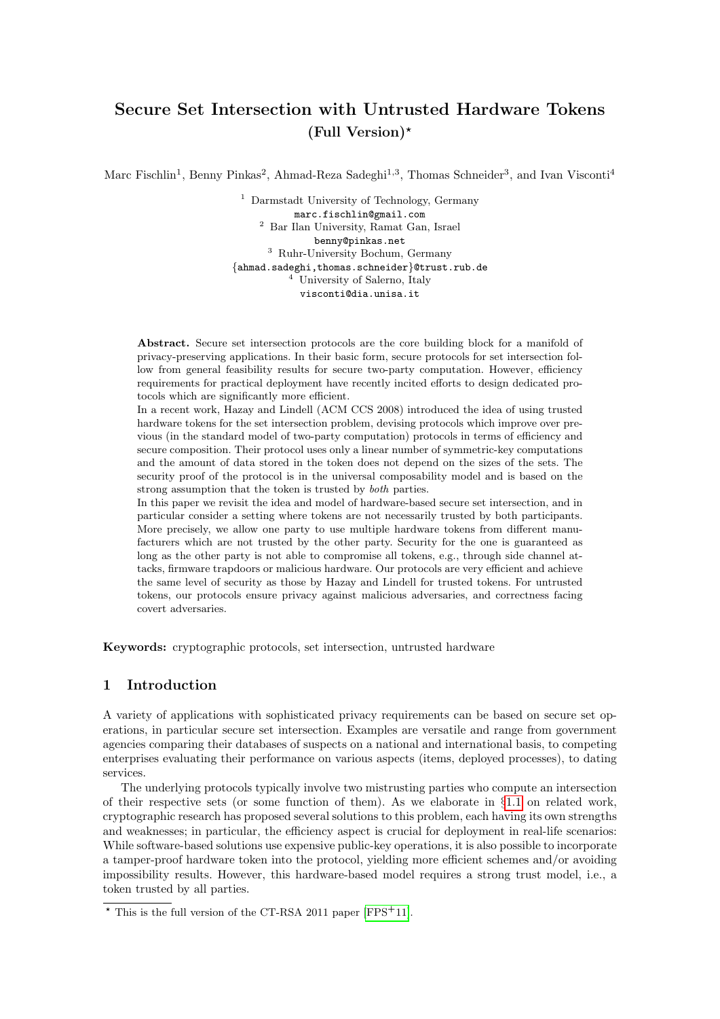# Secure Set Intersection with Untrusted Hardware Tokens (Full Version)\*

Marc Fischlin<sup>1</sup>, Benny Pinkas<sup>2</sup>, Ahmad-Reza Sadeghi<sup>1,3</sup>, Thomas Schneider<sup>3</sup>, and Ivan Visconti<sup>4</sup>

<sup>1</sup> Darmstadt University of Technology, Germany marc.fischlin@gmail.com <sup>2</sup> Bar Ilan University, Ramat Gan, Israel benny@pinkas.net <sup>3</sup> Ruhr-University Bochum, Germany {ahmad.sadeghi,thomas.schneider}@trust.rub.de <sup>4</sup> University of Salerno, Italy visconti@dia.unisa.it

Abstract. Secure set intersection protocols are the core building block for a manifold of privacy-preserving applications. In their basic form, secure protocols for set intersection follow from general feasibility results for secure two-party computation. However, efficiency requirements for practical deployment have recently incited efforts to design dedicated protocols which are significantly more efficient.

In a recent work, Hazay and Lindell (ACM CCS 2008) introduced the idea of using trusted hardware tokens for the set intersection problem, devising protocols which improve over previous (in the standard model of two-party computation) protocols in terms of efficiency and secure composition. Their protocol uses only a linear number of symmetric-key computations and the amount of data stored in the token does not depend on the sizes of the sets. The security proof of the protocol is in the universal composability model and is based on the strong assumption that the token is trusted by both parties.

In this paper we revisit the idea and model of hardware-based secure set intersection, and in particular consider a setting where tokens are not necessarily trusted by both participants. More precisely, we allow one party to use multiple hardware tokens from different manufacturers which are not trusted by the other party. Security for the one is guaranteed as long as the other party is not able to compromise all tokens, e.g., through side channel attacks, firmware trapdoors or malicious hardware. Our protocols are very efficient and achieve the same level of security as those by Hazay and Lindell for trusted tokens. For untrusted tokens, our protocols ensure privacy against malicious adversaries, and correctness facing covert adversaries.

Keywords: cryptographic protocols, set intersection, untrusted hardware

# 1 Introduction

A variety of applications with sophisticated privacy requirements can be based on secure set operations, in particular secure set intersection. Examples are versatile and range from government agencies comparing their databases of suspects on a national and international basis, to competing enterprises evaluating their performance on various aspects (items, deployed processes), to dating services.

The underlying protocols typically involve two mistrusting parties who compute an intersection of their respective sets (or some function of them). As we elaborate in  $\S1.1$  $\S1.1$  on related work, cryptographic research has proposed several solutions to this problem, each having its own strengths and weaknesses; in particular, the efficiency aspect is crucial for deployment in real-life scenarios: While software-based solutions use expensive public-key operations, it is also possible to incorporate a tamper-proof hardware token into the protocol, yielding more efficient schemes and/or avoiding impossibility results. However, this hardware-based model requires a strong trust model, i.e., a token trusted by all parties.

 $\star$  This is the full version of the CT-RSA 2011 paper [\[FPS](#page-12-0)<sup>+</sup>11].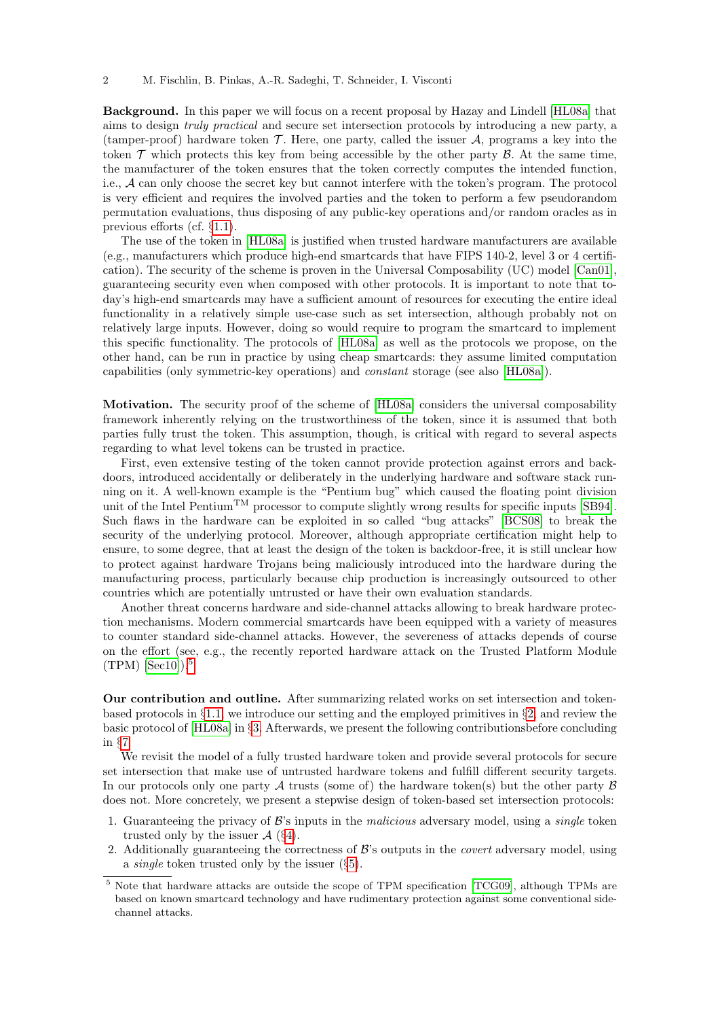Background. In this paper we will focus on a recent proposal by Hazay and Lindell [\[HL08a\]](#page-12-1) that aims to design truly practical and secure set intersection protocols by introducing a new party, a (tamper-proof) hardware token  $\mathcal T$ . Here, one party, called the issuer  $\mathcal A$ , programs a key into the token  $\mathcal T$  which protects this key from being accessible by the other party  $\mathcal B$ . At the same time, the manufacturer of the token ensures that the token correctly computes the intended function, i.e., A can only choose the secret key but cannot interfere with the token's program. The protocol is very efficient and requires the involved parties and the token to perform a few pseudorandom permutation evaluations, thus disposing of any public-key operations and/or random oracles as in previous efforts (cf. §[1.1\)](#page-2-0).

The use of the token in [\[HL08a\]](#page-12-1) is justified when trusted hardware manufacturers are available (e.g., manufacturers which produce high-end smartcards that have FIPS 140-2, level 3 or 4 certification). The security of the scheme is proven in the Universal Composability (UC) model [\[Can01\]](#page-11-0), guaranteeing security even when composed with other protocols. It is important to note that today's high-end smartcards may have a sufficient amount of resources for executing the entire ideal functionality in a relatively simple use-case such as set intersection, although probably not on relatively large inputs. However, doing so would require to program the smartcard to implement this specific functionality. The protocols of [\[HL08a\]](#page-12-1) as well as the protocols we propose, on the other hand, can be run in practice by using cheap smartcards: they assume limited computation capabilities (only symmetric-key operations) and constant storage (see also [\[HL08a\]](#page-12-1)).

Motivation. The security proof of the scheme of [\[HL08a\]](#page-12-1) considers the universal composability framework inherently relying on the trustworthiness of the token, since it is assumed that both parties fully trust the token. This assumption, though, is critical with regard to several aspects regarding to what level tokens can be trusted in practice.

First, even extensive testing of the token cannot provide protection against errors and backdoors, introduced accidentally or deliberately in the underlying hardware and software stack running on it. A well-known example is the "Pentium bug" which caused the floating point division unit of the Intel Pentium<sup>TM</sup> processor to compute slightly wrong results for specific inputs [\[SB94\]](#page-12-2). Such flaws in the hardware can be exploited in so called "bug attacks" [\[BCS08\]](#page-11-1) to break the security of the underlying protocol. Moreover, although appropriate certification might help to ensure, to some degree, that at least the design of the token is backdoor-free, it is still unclear how to protect against hardware Trojans being maliciously introduced into the hardware during the manufacturing process, particularly because chip production is increasingly outsourced to other countries which are potentially untrusted or have their own evaluation standards.

Another threat concerns hardware and side-channel attacks allowing to break hardware protection mechanisms. Modern commercial smartcards have been equipped with a variety of measures to counter standard side-channel attacks. However, the severeness of attacks depends of course on the effort (see, e.g., the recently reported hardware attack on the Trusted Platform Module  $(TPM)$  [\[Sec10\]](#page-12-3)).<sup>[5](#page-1-0)</sup>

Our contribution and outline. After summarizing related works on set intersection and tokenbased protocols in §[1.1,](#page-2-0) we introduce our setting and the employed primitives in §[2,](#page-2-1) and review the basic protocol of [\[HL08a\]](#page-12-1) in §[3.](#page-4-0) Afterwards, we present the following contributionsbefore concluding in §[7.](#page-10-0)

We revisit the model of a fully trusted hardware token and provide several protocols for secure set intersection that make use of untrusted hardware tokens and fulfill different security targets. In our protocols only one party A trusts (some of) the hardware token(s) but the other party  $\beta$ does not. More concretely, we present a stepwise design of token-based set intersection protocols:

- 1. Guaranteeing the privacy of  $\mathcal{B}$ 's inputs in the *malicious* adversary model, using a *single* token trusted only by the issuer  $\mathcal{A}$  (§[4\)](#page-5-0).
- 2. Additionally guaranteeing the correctness of  $\mathcal{B}$ 's outputs in the *covert* adversary model, using a single token trusted only by the issuer (§[5\)](#page-7-0).

<span id="page-1-0"></span><sup>5</sup> Note that hardware attacks are outside the scope of TPM specification [\[TCG09\]](#page-12-4), although TPMs are based on known smartcard technology and have rudimentary protection against some conventional sidechannel attacks.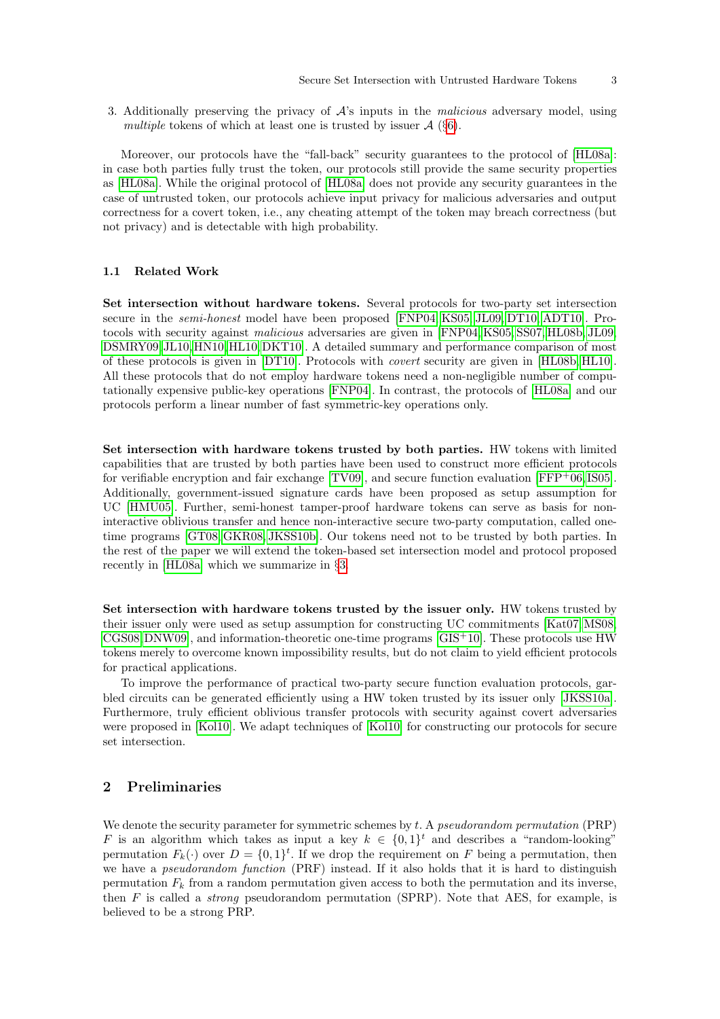3. Additionally preserving the privacy of  $A$ 's inputs in the *malicious* adversary model, using multiple tokens of which at least one is trusted by issuer  $A$  (§[6\)](#page-9-0).

Moreover, our protocols have the "fall-back" security guarantees to the protocol of [\[HL08a\]](#page-12-1): in case both parties fully trust the token, our protocols still provide the same security properties as [\[HL08a\]](#page-12-1). While the original protocol of [\[HL08a\]](#page-12-1) does not provide any security guarantees in the case of untrusted token, our protocols achieve input privacy for malicious adversaries and output correctness for a covert token, i.e., any cheating attempt of the token may breach correctness (but not privacy) and is detectable with high probability.

#### <span id="page-2-0"></span>1.1 Related Work

Set intersection without hardware tokens. Several protocols for two-party set intersection secure in the semi-honest model have been proposed [\[FNP04,](#page-12-5) [KS05,](#page-12-6) [JL09,](#page-12-7) [DT10,](#page-11-2) [ADT10\]](#page-11-3). Protocols with security against malicious adversaries are given in [\[FNP04,](#page-12-5) [KS05,](#page-12-6) [SS07,](#page-12-8) [HL08b,](#page-12-9) [JL09,](#page-12-7) [DSMRY09,](#page-11-4) [JL10,](#page-12-10)[HN10,](#page-12-11)[HL10,](#page-12-12)[DKT10\]](#page-11-5). A detailed summary and performance comparison of most of these protocols is given in [\[DT10\]](#page-11-2). Protocols with covert security are given in [\[HL08b,](#page-12-9) [HL10\]](#page-12-12). All these protocols that do not employ hardware tokens need a non-negligible number of computationally expensive public-key operations [\[FNP04\]](#page-12-5). In contrast, the protocols of [\[HL08a\]](#page-12-1) and our protocols perform a linear number of fast symmetric-key operations only.

Set intersection with hardware tokens trusted by both parties. HW tokens with limited capabilities that are trusted by both parties have been used to construct more efficient protocols for verifiable encryption and fair exchange [\[TV09\]](#page-12-13), and secure function evaluation [\[FFP](#page-12-14)+06, [IS05\]](#page-12-15). Additionally, government-issued signature cards have been proposed as setup assumption for UC [\[HMU05\]](#page-12-16). Further, semi-honest tamper-proof hardware tokens can serve as basis for noninteractive oblivious transfer and hence non-interactive secure two-party computation, called onetime programs [\[GT08,](#page-12-17) [GKR08,](#page-12-18) [JKSS10b\]](#page-12-19). Our tokens need not to be trusted by both parties. In the rest of the paper we will extend the token-based set intersection model and protocol proposed recently in [\[HL08a\]](#page-12-1) which we summarize in §[3.](#page-4-0)

Set intersection with hardware tokens trusted by the issuer only. HW tokens trusted by their issuer only were used as setup assumption for constructing UC commitments [\[Kat07,](#page-12-20)[MS08,](#page-12-21)  $CGS08, DNW09$  $CGS08, DNW09$ , and information-theoretic one-time programs  $[GIS<sup>+</sup>10]$  $[GIS<sup>+</sup>10]$ . These protocols use HW tokens merely to overcome known impossibility results, but do not claim to yield efficient protocols for practical applications.

To improve the performance of practical two-party secure function evaluation protocols, garbled circuits can be generated efficiently using a HW token trusted by its issuer only [\[JKSS10a\]](#page-12-23). Furthermore, truly efficient oblivious transfer protocols with security against covert adversaries were proposed in [\[Kol10\]](#page-12-24). We adapt techniques of [\[Kol10\]](#page-12-24) for constructing our protocols for secure set intersection.

## <span id="page-2-1"></span>2 Preliminaries

We denote the security parameter for symmetric schemes by t. A *pseudorandom permutation* (PRP) F is an algorithm which takes as input a key  $k \in \{0,1\}^t$  and describes a "random-looking" permutation  $F_k(\cdot)$  over  $D = \{0,1\}^t$ . If we drop the requirement on F being a permutation, then we have a *pseudorandom function* (PRF) instead. If it also holds that it is hard to distinguish permutation  $F_k$  from a random permutation given access to both the permutation and its inverse, then  $F$  is called a *strong* pseudorandom permutation (SPRP). Note that AES, for example, is believed to be a strong PRP.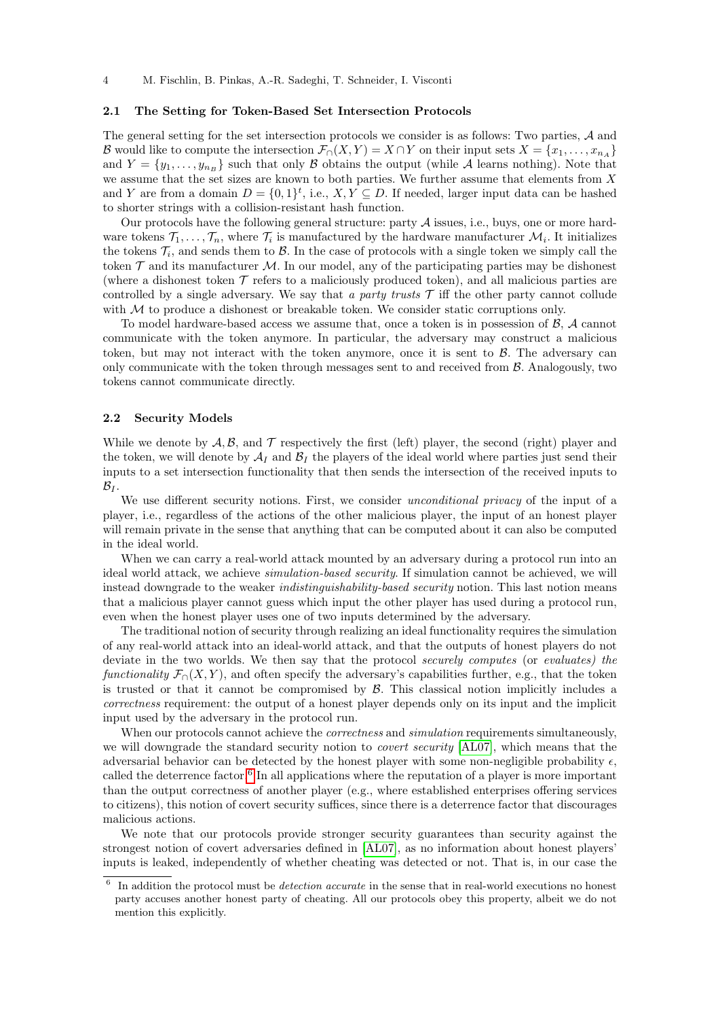#### 2.1 The Setting for Token-Based Set Intersection Protocols

The general setting for the set intersection protocols we consider is as follows: Two parties, A and B would like to compute the intersection  $\mathcal{F}_{\cap}(X, Y) = X \cap Y$  on their input sets  $X = \{x_1, \ldots, x_{n_A}\}\$ and  $Y = \{y_1, \ldots, y_{n_B}\}\$  such that only B obtains the output (while A learns nothing). Note that we assume that the set sizes are known to both parties. We further assume that elements from X and Y are from a domain  $D = \{0, 1\}^t$ , i.e.,  $X, Y \subseteq D$ . If needed, larger input data can be hashed to shorter strings with a collision-resistant hash function.

Our protocols have the following general structure: party  $A$  issues, i.e., buys, one or more hardware tokens  $\mathcal{T}_1, \ldots, \mathcal{T}_n$ , where  $\mathcal{T}_i$  is manufactured by the hardware manufacturer  $\mathcal{M}_i$ . It initializes the tokens  $\mathcal{T}_i$ , and sends them to  $\mathcal{B}$ . In the case of protocols with a single token we simply call the token  $\mathcal T$  and its manufacturer  $\mathcal M$ . In our model, any of the participating parties may be dishonest (where a dishonest token  $\mathcal T$  refers to a maliciously produced token), and all malicious parties are controlled by a single adversary. We say that a party trusts  $\mathcal T$  iff the other party cannot collude with  $M$  to produce a dishonest or breakable token. We consider static corruptions only.

To model hardware-based access we assume that, once a token is in possession of  $\mathcal{B}, \mathcal{A}$  cannot communicate with the token anymore. In particular, the adversary may construct a malicious token, but may not interact with the token anymore, once it is sent to  $\beta$ . The adversary can only communicate with the token through messages sent to and received from  $\beta$ . Analogously, two tokens cannot communicate directly.

#### 2.2 Security Models

While we denote by  $A, B$ , and  $\mathcal T$  respectively the first (left) player, the second (right) player and the token, we will denote by  $A_I$  and  $B_I$  the players of the ideal world where parties just send their inputs to a set intersection functionality that then sends the intersection of the received inputs to  $\mathcal{B}_I$ .

We use different security notions. First, we consider *unconditional privacy* of the input of a player, i.e., regardless of the actions of the other malicious player, the input of an honest player will remain private in the sense that anything that can be computed about it can also be computed in the ideal world.

When we can carry a real-world attack mounted by an adversary during a protocol run into an ideal world attack, we achieve *simulation-based security*. If simulation cannot be achieved, we will instead downgrade to the weaker *indistinguishability-based security* notion. This last notion means that a malicious player cannot guess which input the other player has used during a protocol run, even when the honest player uses one of two inputs determined by the adversary.

The traditional notion of security through realizing an ideal functionality requires the simulation of any real-world attack into an ideal-world attack, and that the outputs of honest players do not deviate in the two worlds. We then say that the protocol securely computes (or evaluates) the functionality  $\mathcal{F}_{\Omega}(X, Y)$ , and often specify the adversary's capabilities further, e.g., that the token is trusted or that it cannot be compromised by  $\beta$ . This classical notion implicitly includes a correctness requirement: the output of a honest player depends only on its input and the implicit input used by the adversary in the protocol run.

When our protocols cannot achieve the *correctness* and *simulation* requirements simultaneously, we will downgrade the standard security notion to *covert security* [\[AL07\]](#page-11-8), which means that the adversarial behavior can be detected by the honest player with some non-negligible probability  $\epsilon$ . called the deterrence factor.<sup>[6](#page-3-0)</sup> In all applications where the reputation of a player is more important than the output correctness of another player (e.g., where established enterprises offering services to citizens), this notion of covert security suffices, since there is a deterrence factor that discourages malicious actions.

We note that our protocols provide stronger security guarantees than security against the strongest notion of covert adversaries defined in [\[AL07\]](#page-11-8), as no information about honest players' inputs is leaked, independently of whether cheating was detected or not. That is, in our case the

<span id="page-3-0"></span><sup>6</sup> In addition the protocol must be *detection accurate* in the sense that in real-world executions no honest party accuses another honest party of cheating. All our protocols obey this property, albeit we do not mention this explicitly.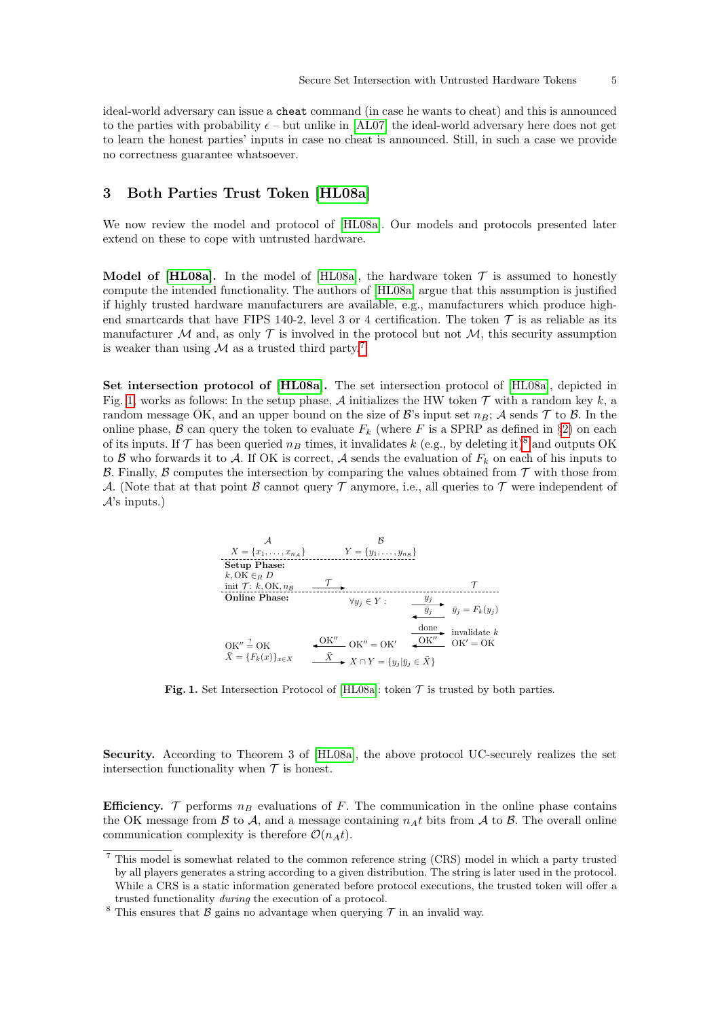ideal-world adversary can issue a cheat command (in case he wants to cheat) and this is announced to the parties with probability  $\epsilon$  – but unlike in [\[AL07\]](#page-11-8) the ideal-world adversary here does not get to learn the honest parties' inputs in case no cheat is announced. Still, in such a case we provide no correctness guarantee whatsoever.

## <span id="page-4-0"></span>3 Both Parties Trust Token [\[HL08a\]](#page-12-1)

We now review the model and protocol of [\[HL08a\]](#page-12-1). Our models and protocols presented later extend on these to cope with untrusted hardware.

Model of [\[HL08a\]](#page-12-1). In the model of [HL08a], the hardware token  $\mathcal T$  is assumed to honestly compute the intended functionality. The authors of [\[HL08a\]](#page-12-1) argue that this assumption is justified if highly trusted hardware manufacturers are available, e.g., manufacturers which produce highend smartcards that have FIPS 140-2, level 3 or 4 certification. The token  $\mathcal T$  is as reliable as its manufacturer M and, as only T is involved in the protocol but not  $M$ , this security assumption is weaker than using  $\mathcal M$  as a trusted third party.<sup>[7](#page-4-1)</sup>

Set intersection protocol of [\[HL08a\]](#page-12-1). The set intersection protocol of [\[HL08a\]](#page-12-1), depicted in Fig. [1,](#page-4-2) works as follows: In the setup phase, A initializes the HW token  $\mathcal T$  with a random key k, a random message OK, and an upper bound on the size of  $\mathcal{B}$ 's input set  $n_B$ ; A sends  $\mathcal T$  to  $\mathcal B$ . In the online phase,  $\beta$  can query the token to evaluate  $F_k$  (where F is a SPRP as defined in §[2\)](#page-2-1) on each of its inputs. If  $\mathcal T$  has been queried  $n_B$  times, it invalidates k (e.g., by deleting it)<sup>[8](#page-4-3)</sup> and outputs OK to B who forwards it to A. If OK is correct, A sends the evaluation of  $F_k$  on each of his inputs to B. Finally, B computes the intersection by comparing the values obtained from  $\mathcal T$  with those from A. (Note that at that point B cannot query  $\mathcal T$  anymore, i.e., all queries to  $\mathcal T$  were independent of  $\mathcal{A}$ 's inputs.)



<span id="page-4-2"></span>Fig. 1. Set Intersection Protocol of [\[HL08a\]](#page-12-1): token  $\mathcal T$  is trusted by both parties.

Security. According to Theorem 3 of [\[HL08a\]](#page-12-1), the above protocol UC-securely realizes the set intersection functionality when  $\mathcal T$  is honest.

**Efficiency.**  $\mathcal{T}$  performs  $n_B$  evaluations of F. The communication in the online phase contains the OK message from B to A, and a message containing  $n<sub>A</sub>t$  bits from A to B. The overall online communication complexity is therefore  $\mathcal{O}(n_A t)$ .

<span id="page-4-1"></span><sup>7</sup> This model is somewhat related to the common reference string (CRS) model in which a party trusted by all players generates a string according to a given distribution. The string is later used in the protocol. While a CRS is a static information generated before protocol executions, the trusted token will offer a trusted functionality during the execution of a protocol.

<span id="page-4-3"></span> $^8$  This ensures that  $\mathcal B$  gains no advantage when querying  $\mathcal T$  in an invalid way.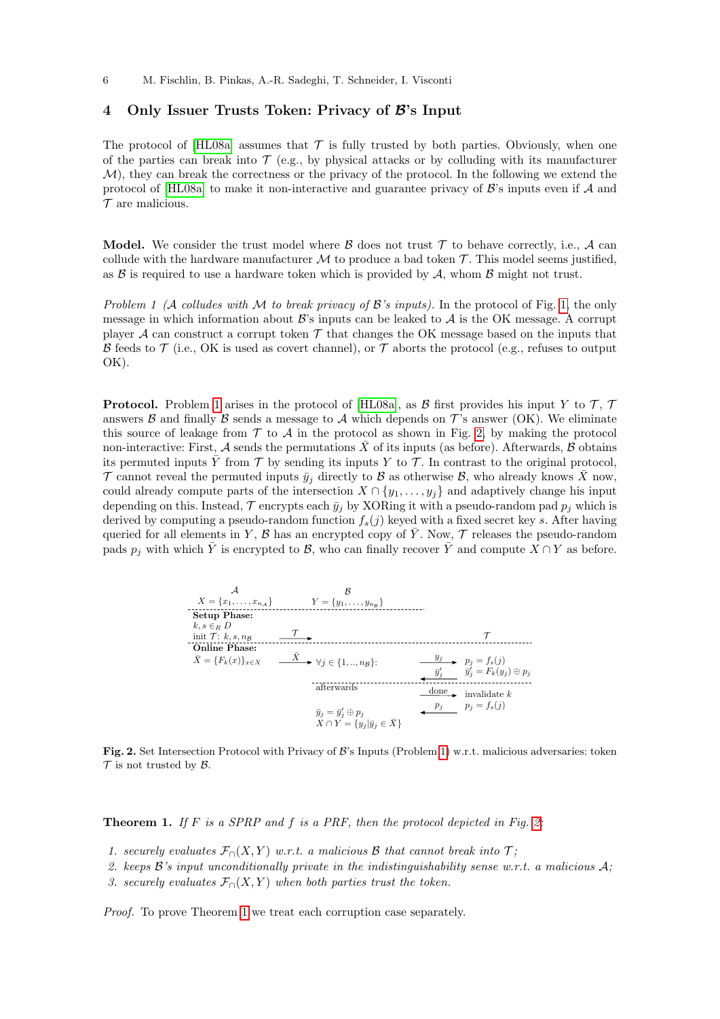## <span id="page-5-0"></span>4 Only Issuer Trusts Token: Privacy of B's Input

The protocol of [\[HL08a\]](#page-12-1) assumes that  $\mathcal T$  is fully trusted by both parties. Obviously, when one of the parties can break into  $\mathcal T$  (e.g., by physical attacks or by colluding with its manufacturer  $M$ ), they can break the correctness or the privacy of the protocol. In the following we extend the protocol of  $[HL08a]$  to make it non-interactive and guarantee privacy of  $\mathcal{B}$ 's inputs even if  $\mathcal{A}$  and  $\mathcal T$  are malicious.

**Model.** We consider the trust model where  $\beta$  does not trust  $\mathcal{T}$  to behave correctly, i.e.,  $\mathcal{A}$  can collude with the hardware manufacturer  $M$  to produce a bad token  $\mathcal T$ . This model seems justified, as  $\beta$  is required to use a hardware token which is provided by  $\mathcal{A}$ , whom  $\beta$  might not trust.

<span id="page-5-1"></span>Problem 1 (A colludes with M to break privacy of B's inputs). In the protocol of Fig. [1,](#page-4-2) the only message in which information about  $\mathcal{B}$ 's inputs can be leaked to  $\mathcal{A}$  is the OK message. A corrupt player  $A$  can construct a corrupt token  $\mathcal T$  that changes the OK message based on the inputs that B feeds to T (i.e., OK is used as covert channel), or T aborts the protocol (e.g., refuses to output OK).

**Protocol.** Problem [1](#page-5-1) arises in the protocol of [\[HL08a\]](#page-12-1), as B first provides his input Y to  $\mathcal{T}, \mathcal{T}$ answers  $\beta$  and finally  $\beta$  sends a message to  $\mathcal A$  which depends on  $\mathcal T$ 's answer (OK). We eliminate this source of leakage from  $\mathcal T$  to  $\mathcal A$  in the protocol as shown in Fig. [2,](#page-5-2) by making the protocol non-interactive: First, A sends the permutations  $\bar{X}$  of its inputs (as before). Afterwards, B obtains its permuted inputs  $\overline{Y}$  from  $\mathcal T$  by sending its inputs Y to  $\mathcal T$ . In contrast to the original protocol,  $\mathcal T$  cannot reveal the permuted inputs  $\bar{y}_j$  directly to  $\mathcal B$  as otherwise  $\mathcal B$ , who already knows  $\bar{X}$  now, could already compute parts of the intersection  $X \cap \{y_1, \ldots, y_j\}$  and adaptively change his input depending on this. Instead,  $\mathcal T$  encrypts each  $\bar{y}_j$  by XORing it with a pseudo-random pad  $p_j$  which is derived by computing a pseudo-random function  $f_s(j)$  keyed with a fixed secret key s. After having queried for all elements in Y, B has an encrypted copy of  $\overline{Y}$ . Now, T releases the pseudo-random pads  $p_j$  with which  $\overline{Y}$  is encrypted to  $\mathcal{B}$ , who can finally recover  $\overline{Y}$  and compute  $\overline{X} \cap Y$  as before.



<span id="page-5-2"></span>Fig. 2. Set Intersection Protocol with Privacy of  $\mathcal{B}$ 's Inputs (Problem [1\)](#page-5-1) w.r.t. malicious adversaries: token  $\mathcal T$  is not trusted by  $\mathcal B$ .

<span id="page-5-3"></span>**Theorem 1.** If F is a SPRP and f is a PRF, then the protocol depicted in Fig. [2:](#page-5-2)

- 1. securely evaluates  $\mathcal{F}_{\cap}(X, Y)$  w.r.t. a malicious B that cannot break into  $\mathcal{T}$ ;
- <span id="page-5-4"></span>2. keeps  $\mathcal{B}'$ 's input unconditionally private in the indistinguishability sense w.r.t. a malicious  $\mathcal{A}$ ;
- 3. securely evaluates  $\mathcal{F}_{\cap}(X, Y)$  when both parties trust the token.

Proof. To prove Theorem [1](#page-5-3) we treat each corruption case separately.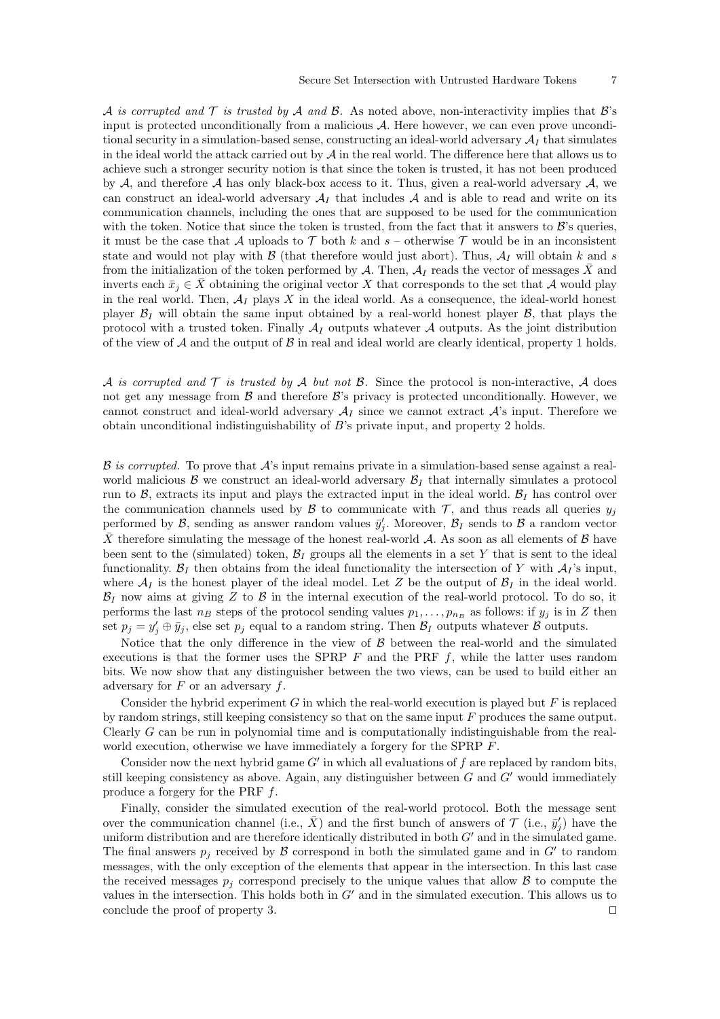A is corrupted and T is trusted by A and B. As noted above, non-interactivity implies that  $\mathcal{B}$ 's input is protected unconditionally from a malicious A. Here however, we can even prove unconditional security in a simulation-based sense, constructing an ideal-world adversary  $A_I$  that simulates in the ideal world the attack carried out by  $A$  in the real world. The difference here that allows us to achieve such a stronger security notion is that since the token is trusted, it has not been produced by  $A$ , and therefore  $A$  has only black-box access to it. Thus, given a real-world adversary  $A$ , we can construct an ideal-world adversary  $A_I$  that includes A and is able to read and write on its communication channels, including the ones that are supposed to be used for the communication with the token. Notice that since the token is trusted, from the fact that it answers to  $\mathcal{B}'s$  queries, it must be the case that A uploads to T both k and  $s$  – otherwise T would be in an inconsistent state and would not play with  $\beta$  (that therefore would just abort). Thus,  $A_I$  will obtain k and s from the initialization of the token performed by A. Then,  $A_I$  reads the vector of messages  $\bar{X}$  and inverts each  $\bar{x}_i \in \bar{X}$  obtaining the original vector X that corresponds to the set that A would play in the real world. Then,  $A_I$  plays X in the ideal world. As a consequence, the ideal-world honest player  $\mathcal{B}_I$  will obtain the same input obtained by a real-world honest player  $\mathcal{B}_I$ , that plays the protocol with a trusted token. Finally  $A_I$  outputs whatever A outputs. As the joint distribution of the view of  $A$  and the output of  $B$  in real and ideal world are clearly identical, property 1 holds.

A is corrupted and T is trusted by A but not B. Since the protocol is non-interactive, A does not get any message from  $\beta$  and therefore  $\beta$ 's privacy is protected unconditionally. However, we cannot construct and ideal-world adversary  $A_I$  since we cannot extract  $A$ 's input. Therefore we obtain unconditional indistinguishability of B's private input, and property 2 holds.

 $\beta$  is corrupted. To prove that  $\mathcal{A}$ 's input remains private in a simulation-based sense against a realworld malicious  $\beta$  we construct an ideal-world adversary  $\beta_I$  that internally simulates a protocol run to  $\mathcal{B}$ , extracts its input and plays the extracted input in the ideal world.  $\mathcal{B}_I$  has control over the communication channels used by  $\beta$  to communicate with  $\mathcal{T}$ , and thus reads all queries  $y_j$ performed by  $\mathcal{B}$ , sending as answer random values  $\bar{y}'_j$ . Moreover,  $\mathcal{B}_I$  sends to  $\mathcal{B}$  a random vector  $\bar{X}$  therefore simulating the message of the honest real-world A. As soon as all elements of B have been sent to the (simulated) token,  $\mathcal{B}_I$  groups all the elements in a set Y that is sent to the ideal functionality.  $\mathcal{B}_I$  then obtains from the ideal functionality the intersection of Y with  $\mathcal{A}_I$ 's input, where  $\mathcal{A}_I$  is the honest player of the ideal model. Let Z be the output of  $\mathcal{B}_I$  in the ideal world.  $\mathcal{B}_I$  now aims at giving Z to B in the internal execution of the real-world protocol. To do so, it performs the last  $n_B$  steps of the protocol sending values  $p_1, \ldots, p_{n_B}$  as follows: if  $y_j$  is in Z then set  $p_j = y'_j \oplus \bar{y}_j$ , else set  $p_j$  equal to a random string. Then  $\mathcal{B}_I$  outputs whatever  $\mathcal B$  outputs.

Notice that the only difference in the view of  $\beta$  between the real-world and the simulated executions is that the former uses the SPRP  $F$  and the PRF  $f$ , while the latter uses random bits. We now show that any distinguisher between the two views, can be used to build either an adversary for  $F$  or an adversary  $f$ .

Consider the hybrid experiment G in which the real-world execution is played but  $F$  is replaced by random strings, still keeping consistency so that on the same input  $F$  produces the same output. Clearly G can be run in polynomial time and is computationally indistinguishable from the realworld execution, otherwise we have immediately a forgery for the SPRP F.

Consider now the next hybrid game  $G'$  in which all evaluations of f are replaced by random bits, still keeping consistency as above. Again, any distinguisher between  $G$  and  $G'$  would immediately produce a forgery for the PRF f.

Finally, consider the simulated execution of the real-world protocol. Both the message sent over the communication channel (i.e.,  $\bar{X}$ ) and the first bunch of answers of  $\mathcal{T}$  (i.e.,  $\bar{y}'_j$ ) have the uniform distribution and are therefore identically distributed in both  $G'$  and in the simulated game. The final answers  $p_j$  received by  $\beta$  correspond in both the simulated game and in  $G'$  to random messages, with the only exception of the elements that appear in the intersection. In this last case the received messages  $p_i$  correspond precisely to the unique values that allow  $\mathcal B$  to compute the values in the intersection. This holds both in  $G'$  and in the simulated execution. This allows us to conclude the proof of property 3.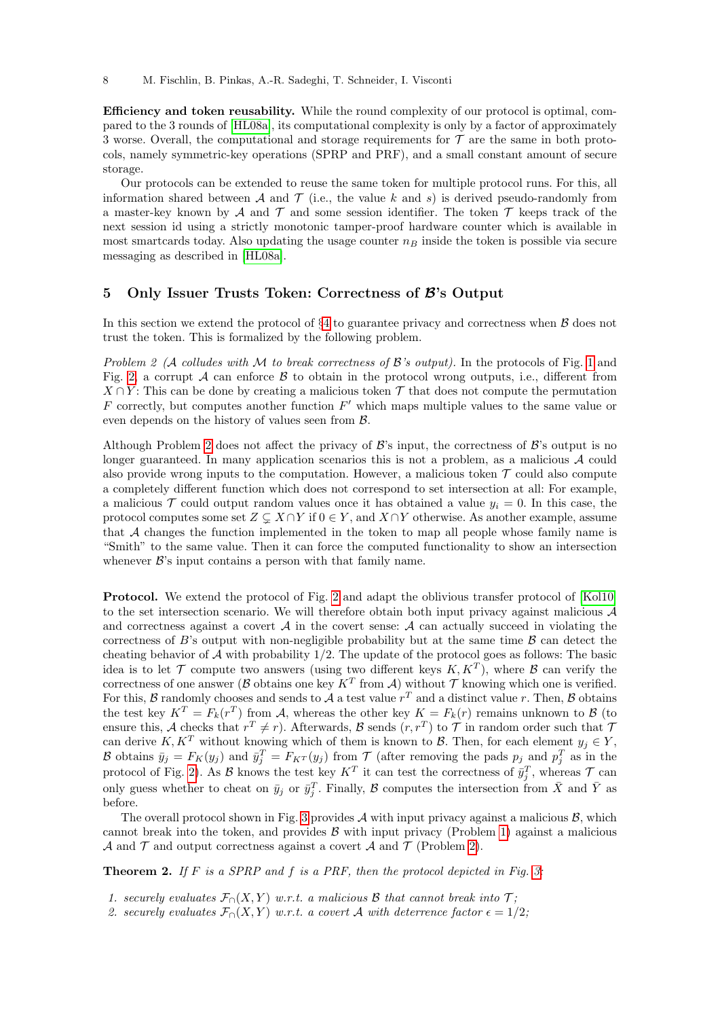Efficiency and token reusability. While the round complexity of our protocol is optimal, compared to the 3 rounds of [\[HL08a\]](#page-12-1), its computational complexity is only by a factor of approximately 3 worse. Overall, the computational and storage requirements for  $\mathcal T$  are the same in both protocols, namely symmetric-key operations (SPRP and PRF), and a small constant amount of secure storage.

Our protocols can be extended to reuse the same token for multiple protocol runs. For this, all information shared between A and T (i.e., the value k and s) is derived pseudo-randomly from a master-key known by A and  $\mathcal T$  and some session identifier. The token  $\mathcal T$  keeps track of the next session id using a strictly monotonic tamper-proof hardware counter which is available in most smartcards today. Also updating the usage counter  $n_B$  inside the token is possible via secure messaging as described in [\[HL08a\]](#page-12-1).

## <span id="page-7-0"></span>5 Only Issuer Trusts Token: Correctness of B's Output

In this section we extend the protocol of  $\S 4$  $\S 4$  to guarantee privacy and correctness when  $\beta$  does not trust the token. This is formalized by the following problem.

<span id="page-7-1"></span>Problem 2 (A colludes with M to break correctness of  $\mathcal{B}'s$  output). In the protocols of Fig. [1](#page-4-2) and Fig. [2,](#page-5-2) a corrupt  $\mathcal A$  can enforce  $\mathcal B$  to obtain in the protocol wrong outputs, i.e., different from  $X \cap Y$ : This can be done by creating a malicious token  $\mathcal T$  that does not compute the permutation  $F$  correctly, but computes another function  $F'$  which maps multiple values to the same value or even depends on the history of values seen from B.

Although Problem [2](#page-7-1) does not affect the privacy of  $\mathcal{B}$ 's input, the correctness of  $\mathcal{B}$ 's output is no longer guaranteed. In many application scenarios this is not a problem, as a malicious  $A$  could also provide wrong inputs to the computation. However, a malicious token  $\mathcal T$  could also compute a completely different function which does not correspond to set intersection at all: For example, a malicious T could output random values once it has obtained a value  $y_i = 0$ . In this case, the protocol computes some set  $Z \subsetneq X \cap Y$  if  $0 \in Y$ , and  $X \cap Y$  otherwise. As another example, assume that A changes the function implemented in the token to map all people whose family name is "Smith" to the same value. Then it can force the computed functionality to show an intersection whenever  $\mathcal{B}$ 's input contains a person with that family name.

Protocol. We extend the protocol of Fig. [2](#page-5-2) and adapt the oblivious transfer protocol of [\[Kol10\]](#page-12-24) to the set intersection scenario. We will therefore obtain both input privacy against malicious A and correctness against a covert  $A$  in the covert sense:  $A$  can actually succeed in violating the correctness of B's output with non-negligible probability but at the same time  $\beta$  can detect the cheating behavior of  $A$  with probability  $1/2$ . The update of the protocol goes as follows: The basic idea is to let  $\mathcal T$  compute two answers (using two different keys  $K, K^T$ ), where  $\mathcal B$  can verify the correctness of one answer (B obtains one key  $K^T$  from A) without  $\mathcal T$  knowing which one is verified. For this, B randomly chooses and sends to A a test value  $r^T$  and a distinct value r. Then, B obtains the test key  $K^T = F_k(r^T)$  from A, whereas the other key  $K = F_k(r)$  remains unknown to B (to ensure this, A checks that  $r^T \neq r$ ). Afterwards, B sends  $(r, r^T)$  to  $\mathcal T$  in random order such that  $\mathcal T$ can derive K, K<sup>T</sup> without knowing which of them is known to  $\mathcal{B}$ . Then, for each element  $y_j \in Y$ , B obtains  $\bar{y}_j = F_K(y_j)$  and  $\bar{y}_j^T = F_{K^T}(y_j)$  from  $\mathcal T$  (after removing the pads  $p_j$  and  $p_j^T$  as in the protocol of Fig. [2\)](#page-5-2). As  $\mathcal{B}$  knows the test key  $K^T$  it can test the correctness of  $\bar{y}_j^T$ , whereas  $\mathcal{T}$  can only guess whether to cheat on  $\bar{y}_j$  or  $\bar{y}_j^T$ . Finally, B computes the intersection from  $\bar{X}$  and  $\bar{Y}$  as before.

The overall protocol shown in Fig. [3](#page-8-0) provides  $A$  with input privacy against a malicious  $B$ , which cannot break into the token, and provides  $\beta$  with input privacy (Problem [1\)](#page-5-1) against a malicious A and  $\mathcal T$  and output correctness against a covert A and  $\mathcal T$  (Problem [2\)](#page-7-1).

<span id="page-7-2"></span>**Theorem 2.** If  $F$  is a SPRP and  $f$  is a PRF, then the protocol depicted in Fig. [3:](#page-8-0)

- 1. securely evaluates  $\mathcal{F}_{\cap}(X, Y)$  w.r.t. a malicious B that cannot break into  $\mathcal{T}$ ;
- 2. securely evaluates  $\mathcal{F}_{\cap}(X, Y)$  w.r.t. a covert A with deterrence factor  $\epsilon = 1/2$ ;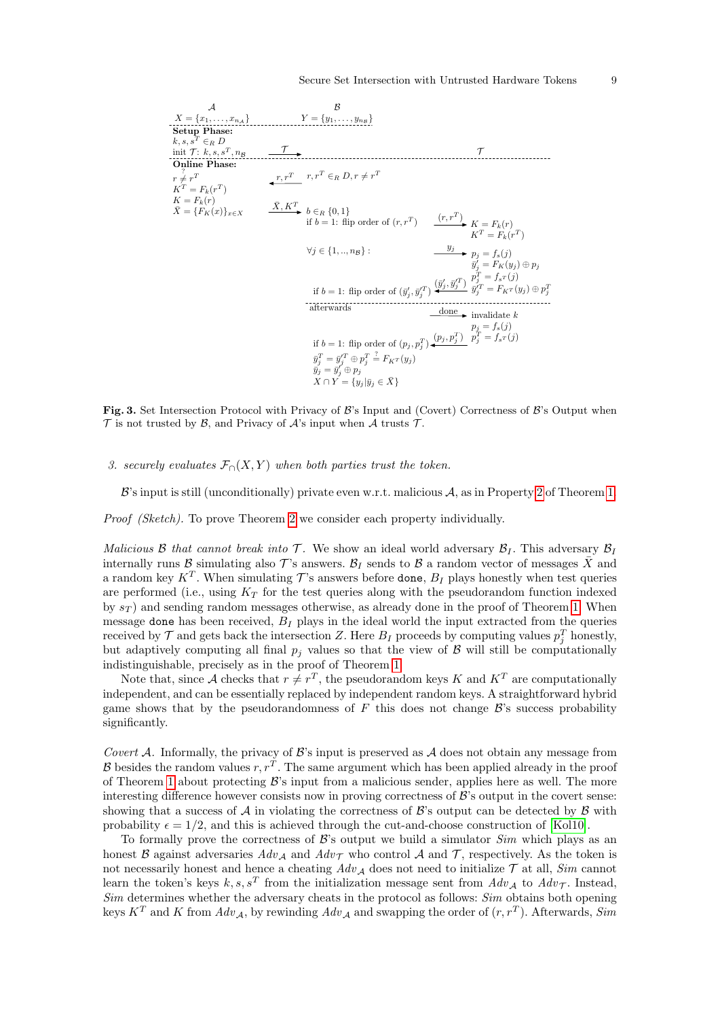| A                                                             | B                                        |                                         |
|---------------------------------------------------------------|------------------------------------------|-----------------------------------------|
| $X = \{x_1, \ldots, x_{n_A}\}$                                | $Y = \{y_1, \ldots, y_{n_B}\}$           |                                         |
| <b>Setup Phase:</b>                                           | $k, s, s^T \in_R D$                      |                                         |
| <b>Online Phase:</b>                                          | $r \neq r^T$                             |                                         |
| $T = F_k(r)$                                                  | $K = F_k(r)$                             |                                         |
| $K = F_k(r)$                                                  | $\bar{X}, K^T$                           | $b \in_R \{0, 1\}$                      |
| $\bar{X} = \{F_K(x)\}_{x \in X}$                              | $\bar{X}, K^T$                           | $b \in_R \{0, 1\}$                      |
| $\forall j \in \{1, \ldots, n_B\}$ :                          | $\frac{y_j}{N} = f_k(r)$                 |                                         |
| $\forall j \in \{1, \ldots, n_B\}$ :                          | $\frac{y_j}{y'_j} = F_K(y_j) \oplus p_j$ |                                         |
| $\text{if } b = 1:$ flip order of $(\bar{y}'_j, \bar{y}^T_j)$ | $(\bar{y}'_j, \bar{y}^T_j)$              | $\bar{y}^T_j = f_s r(j)$                |
| $\text{if } b = 1:$ flip order of $(\bar{y}'_j, \bar{y}^T_j)$ | $(\bar{y}'_j, \bar{y}^T_j)$              | $\bar{y}^T_j = f_K r(y_j) \oplus p^T_j$ |
| $\text{intermards}$                                           | invaliate $k$                            |                                         |
| $\text{if } b = 1:$ flip order of $(p_j, p^T_j)$              | $(p_j, p^T_j)$                           | $p^T_j = f_s(j)$                        |
| $\bar{y}^$                                                    |                                          |                                         |

<span id="page-8-0"></span>Fig. 3. Set Intersection Protocol with Privacy of B's Input and (Covert) Correctness of B's Output when  $\mathcal T$  is not trusted by  $\mathcal B$ , and Privacy of  $\mathcal A$ 's input when  $\mathcal A$  trusts  $\mathcal T$ .

3. securely evaluates  $\mathcal{F}_{\cap}(X, Y)$  when both parties trust the token.

 $\mathcal{B}'$ 's input is still (unconditionally) private even w.r.t. malicious  $\mathcal{A}$ , as in Property [2](#page-5-4) of Theorem [1.](#page-5-3)

Proof (Sketch). To prove Theorem [2](#page-7-2) we consider each property individually.

Malicious B that cannot break into T. We show an ideal world adversary  $\mathcal{B}_I$ . This adversary  $\mathcal{B}_I$ internally runs B simulating also T's answers.  $B_I$  sends to B a random vector of messages  $\bar{X}$  and a random key  $K^T$ . When simulating T's answers before done,  $B_I$  plays honestly when test queries are performed (i.e., using  $K<sub>T</sub>$  for the test queries along with the pseudorandom function indexed by  $s_T$ ) and sending random messages otherwise, as already done in the proof of Theorem [1.](#page-5-3) When message done has been received,  $B_I$  plays in the ideal world the input extracted from the queries received by  $\mathcal T$  and gets back the intersection Z. Here  $B_I$  proceeds by computing values  $p_j^T$  honestly, but adaptively computing all final  $p_i$  values so that the view of  $\beta$  will still be computationally indistinguishable, precisely as in the proof of Theorem [1.](#page-5-3)

Note that, since A checks that  $r \neq r^T$ , the pseudorandom keys K and  $K^T$  are computationally independent, and can be essentially replaced by independent random keys. A straightforward hybrid game shows that by the pseudorandomness of  $F$  this does not change  $\mathcal{B}$ 's success probability significantly.

Covert A. Informally, the privacy of  $\mathcal{B}$ 's input is preserved as A does not obtain any message from  $\mathcal B$  besides the random values  $r, r^T$ . The same argument which has been applied already in the proof of Theorem [1](#page-5-3) about protecting  $\mathcal{B}$ 's input from a malicious sender, applies here as well. The more interesting difference however consists now in proving correctness of  $\mathcal{B}'$ 's output in the covert sense: showing that a success of  $\mathcal A$  in violating the correctness of  $\mathcal B$ 's output can be detected by  $\mathcal B$  with probability  $\epsilon = 1/2$ , and this is achieved through the cut-and-choose construction of [\[Kol10\]](#page-12-24).

To formally prove the correctness of  $\mathcal{B}$ 's output we build a simulator  $Sim$  which plays as an honest B against adversaries  $Adv_A$  and  $Adv_{\mathcal{T}}$  who control A and T, respectively. As the token is not necessarily honest and hence a cheating  $Adv_{\mathcal{A}}$  does not need to initialize  $\mathcal{T}$  at all, Sim cannot learn the token's keys  $k, s, s<sup>T</sup>$  from the initialization message sent from  $Adv_{\mathcal{A}}$  to  $Adv_{\mathcal{T}}$ . Instead,  $Sim$  determines whether the adversary cheats in the protocol as follows:  $Sim$  obtains both opening keys  $K^T$  and K from  $Adv_{\mathcal{A}}$ , by rewinding  $Adv_{\mathcal{A}}$  and swapping the order of  $(r, r^T)$ . Afterwards, Sim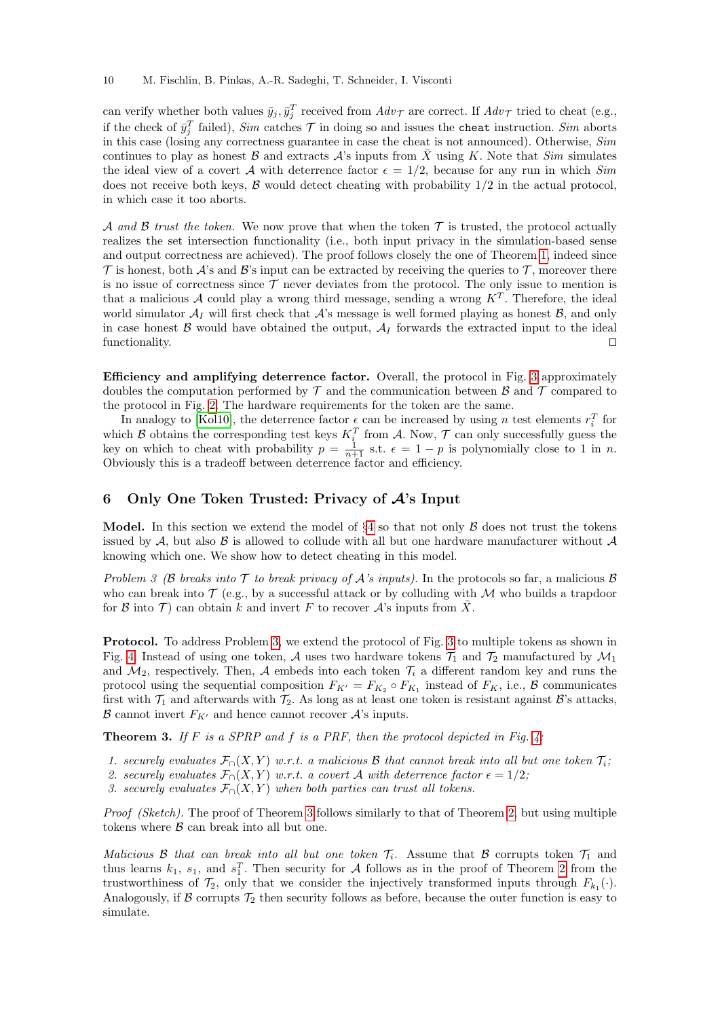can verify whether both values  $\bar{y}_j$ ,  $\bar{y}_j^T$  received from  $Adv_{\mathcal{T}}$  are correct. If  $Adv_{\mathcal{T}}$  tried to cheat (e.g., if the check of  $\bar{y}_j^T$  failed), Sim catches  $\mathcal T$  in doing so and issues the cheat instruction. Sim aborts in this case (losing any correctness guarantee in case the cheat is not announced). Otherwise, Sim continues to play as honest B and extracts A's inputs from  $\bar{X}$  using K. Note that Sim simulates the ideal view of a covert A with deterrence factor  $\epsilon = 1/2$ , because for any run in which Sim does not receive both keys,  $\beta$  would detect cheating with probability  $1/2$  in the actual protocol, in which case it too aborts.

A and B trust the token. We now prove that when the token  $\mathcal T$  is trusted, the protocol actually realizes the set intersection functionality (i.e., both input privacy in the simulation-based sense and output correctness are achieved). The proof follows closely the one of Theorem [1,](#page-5-3) indeed since  $\mathcal T$  is honest, both  $\mathcal A$ 's and  $\mathcal B$ 's input can be extracted by receiving the queries to  $\mathcal T$ , moreover there is no issue of correctness since  $\mathcal T$  never deviates from the protocol. The only issue to mention is that a malicious A could play a wrong third message, sending a wrong  $K<sup>T</sup>$ . Therefore, the ideal world simulator  $\mathcal{A}_I$  will first check that  $\mathcal{A}$ 's message is well formed playing as honest  $\mathcal{B}$ , and only in case honest  $\beta$  would have obtained the output,  $\mathcal{A}_I$  forwards the extracted input to the ideal functionality. functionality.  $\square$ 

Efficiency and amplifying deterrence factor. Overall, the protocol in Fig. [3](#page-8-0) approximately doubles the computation performed by  $\mathcal T$  and the communication between  $\mathcal B$  and  $\mathcal T$  compared to the protocol in Fig. [2.](#page-5-2) The hardware requirements for the token are the same.

In analogy to [\[Kol10\]](#page-12-24), the deterrence factor  $\epsilon$  can be increased by using n test elements  $r_i^T$  for in analogy to [KOTO], the determine ration e tall be increased by using *n* test elements  $r_i$  for which *B* obtains the corresponding test keys  $K_i^T$  from *A*. Now, *T* can only successfully guess the key on which to cheat with probability  $p = \frac{1}{n+1}$  s.t.  $\epsilon = 1 - p$  is polynomially close to 1 in n. Obviously this is a tradeoff between deterrence factor and efficiency.

### <span id="page-9-0"></span>6 Only One Token Trusted: Privacy of A's Input

**Model.** In this section we extend the model of  $\S 4$  $\S 4$  so that not only  $\beta$  does not trust the tokens issued by  $A$ , but also  $B$  is allowed to collude with all but one hardware manufacturer without  $A$ knowing which one. We show how to detect cheating in this model.

<span id="page-9-1"></span>Problem 3 (B breaks into  $\mathcal T$  to break privacy of  $\mathcal A$ 's inputs). In the protocols so far, a malicious  $\mathcal B$ who can break into  $\mathcal T$  (e.g., by a successful attack or by colluding with  $\mathcal M$  who builds a trapdoor for  $\mathcal B$  into  $\mathcal T$  can obtain k and invert F to recover  $\mathcal A$ 's inputs from  $\bar X$ .

Protocol. To address Problem [3,](#page-9-1) we extend the protocol of Fig. [3](#page-8-0) to multiple tokens as shown in Fig. [4:](#page-10-1) Instead of using one token, A uses two hardware tokens  $\mathcal{T}_1$  and  $\mathcal{T}_2$  manufactured by  $\mathcal{M}_1$ and  $\mathcal{M}_2$ , respectively. Then,  $\mathcal A$  embeds into each token  $\mathcal T_i$  a different random key and runs the protocol using the sequential composition  $F_{K'} = F_{K_2} \circ F_{K_1}$  instead of  $F_K$ , i.e.,  $\beta$  communicates first with  $\mathcal{T}_1$  and afterwards with  $\mathcal{T}_2$ . As long as at least one token is resistant against  $\mathcal{B}$ 's attacks,  $\mathcal B$  cannot invert  $F_{K'}$  and hence cannot recover  $\mathcal A$ 's inputs.

<span id="page-9-2"></span>**Theorem 3.** If F is a SPRP and f is a PRF, then the protocol depicted in Fig. [4:](#page-10-1)

- 1. securely evaluates  $\mathcal{F}_{\cap}(X, Y)$  w.r.t. a malicious B that cannot break into all but one token  $\mathcal{T}_i$ ;
- 2. securely evaluates  $\mathcal{F}_{\cap}(X, Y)$  w.r.t. a covert A with deterrence factor  $\epsilon = 1/2$ ;
- 3. securely evaluates  $\mathcal{F}_{\cap}(X, Y)$  when both parties can trust all tokens.

Proof (Sketch). The proof of Theorem [3](#page-9-2) follows similarly to that of Theorem [2,](#page-7-2) but using multiple tokens where  $\beta$  can break into all but one.

Malicious B that can break into all but one token  $\mathcal{T}_i$ . Assume that B corrupts token  $\mathcal{T}_1$  and thus learns  $k_1$ ,  $s_1$ , and  $s_1^T$ . Then security for A follows as in the proof of Theorem [2](#page-7-2) from the trustworthiness of  $\mathcal{T}_2$ , only that we consider the injectively transformed inputs through  $F_{k_1}(\cdot)$ . Analogously, if  $\mathcal B$  corrupts  $\mathcal T_2$  then security follows as before, because the outer function is easy to simulate.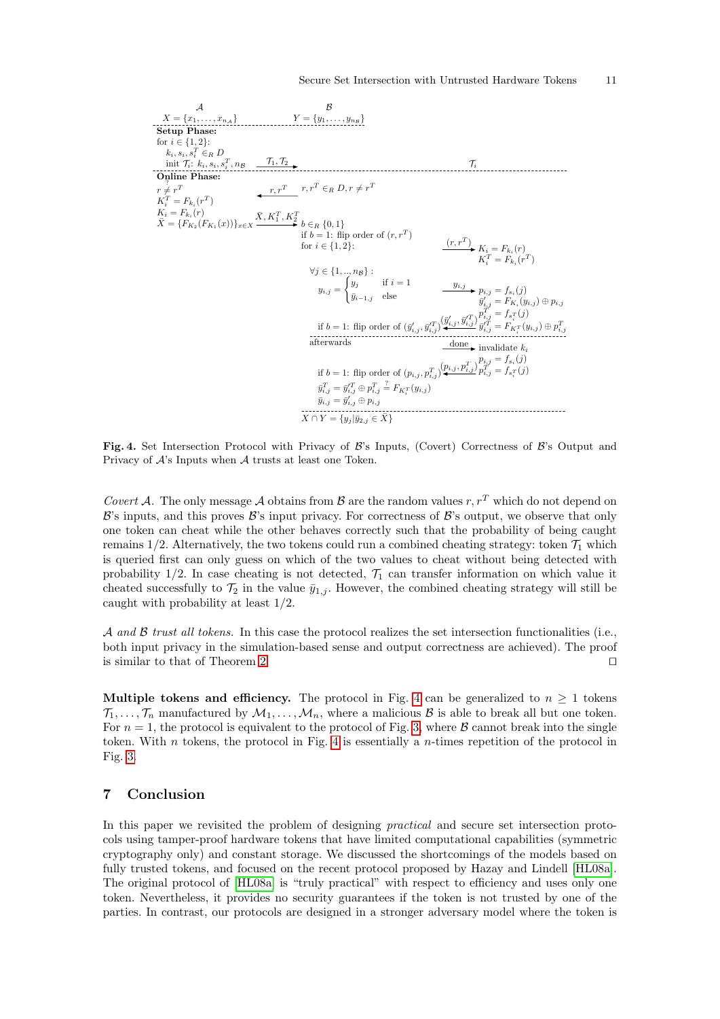| $X = \{x_1, \ldots, x_{n_A}\}$ | $Y = \{y_1, \ldots, y_{n_B}\}$                                                                                                                                                                                                                                                                                                                                                        |                    |
|--------------------------------|---------------------------------------------------------------------------------------------------------------------------------------------------------------------------------------------------------------------------------------------------------------------------------------------------------------------------------------------------------------------------------------|--------------------|
| Setup Phase:                   |                                                                                                                                                                                                                                                                                                                                                                                       |                    |
| for $i \in \{1, 2\}$ :         | $T_i$                                                                                                                                                                                                                                                                                                                                                                                 |                    |
| $k_i, s_i, s_i^T$ $\in$ $D$    | $T_i$                                                                                                                                                                                                                                                                                                                                                                                 |                    |
| Opline Phase:                  |                                                                                                                                                                                                                                                                                                                                                                                       |                    |
| $r \neq r^T$                   | $r, r^T$ $r, r^T \in R$ $D, r \neq r^T$                                                                                                                                                                                                                                                                                                                                               |                    |
| Opline Phase:                  |                                                                                                                                                                                                                                                                                                                                                                                       |                    |
| $r \neq r^T$                   | $r, r^T$ $r, r^T \in R$ $D, r \neq r^T$                                                                                                                                                                                                                                                                                                                                               |                    |
| $K_i = F_{k_i}(r)$             | $K = \{F_{K_2}(F_{K_1}(x))\}_{x \in X}$ $\times$ $\frac{K}{K_1^T}, \frac{K_1^T}{K_2^T}$ $\infty$ $\infty$ $\{0, 1\}$                                                                                                                                                                                                                                                                  |                    |
| $y_j \in \{1, \ldots, n_B\}$ : | $(r, r^T)$                                                                                                                                                                                                                                                                                                                                                                            | $K_i = F_{k_i}(r)$ |
| $y_j \in \{1, \ldots, n_B\}$ : | $y_{i,j} = \begin{cases} y_j & \text{if } i = 1 \\ y_{i-1,j} & \text{else} \end{cases}$ $\frac{y_{i,j}}{y_{i,j}^T} = F_{k_i}(y_{i,j}) \oplus p_{i,j} \text{ if } b = 1$ : flip order of $(y_{i,j}^T, y_{i,j}^{(T)}, y_{i,j}^{(T)}, y_{i,j}^{(T)}, y_{i,j}^{(T)}, y_{i,j}^{(T)}, y_{i,j}^{(T)}, y_{i,j}^{(T)}, y_{i,j}^{(T)}, y_{i,j}^{(T)}, y_{i,j}^{(T)}, y_{i,j}^{(T)}, y_{i,j}^{($ |                    |

<span id="page-10-1"></span>Fig. 4. Set Intersection Protocol with Privacy of B's Inputs, (Covert) Correctness of B's Output and Privacy of A's Inputs when A trusts at least one Token.

Covert A. The only message A obtains from B are the random values  $r, r^T$  which do not depend on  $\mathcal{B}'$ 's inputs, and this proves  $\mathcal{B}'$ 's input privacy. For correctness of  $\mathcal{B}'$ 's output, we observe that only one token can cheat while the other behaves correctly such that the probability of being caught remains 1/2. Alternatively, the two tokens could run a combined cheating strategy: token  $\mathcal{T}_1$  which is queried first can only guess on which of the two values to cheat without being detected with probability  $1/2$ . In case cheating is not detected,  $\mathcal{T}_1$  can transfer information on which value it cheated successfully to  $\mathcal{T}_2$  in the value  $\bar{y}_{1,j}$ . However, the combined cheating strategy will still be caught with probability at least 1/2.

A and B trust all tokens. In this case the protocol realizes the set intersection functionalities (i.e., both input privacy in the simulation-based sense and output correctness are achieved). The proof is similar to that of Theorem [2.](#page-7-2)  $\Box$ 

Multiple tokens and efficiency. The protocol in Fig. [4](#page-10-1) can be generalized to  $n \geq 1$  tokens  $\mathcal{T}_1,\ldots,\mathcal{T}_n$  manufactured by  $\mathcal{M}_1,\ldots,\mathcal{M}_n$ , where a malicious  $\mathcal{B}$  is able to break all but one token. For  $n = 1$ , the protocol is equivalent to the protocol of Fig. [3,](#page-8-0) where  $\beta$  cannot break into the single token. With n tokens, the protocol in Fig. [4](#page-10-1) is essentially a  $n$ -times repetition of the protocol in Fig. [3.](#page-8-0)

#### <span id="page-10-0"></span>7 Conclusion

In this paper we revisited the problem of designing *practical* and secure set intersection protocols using tamper-proof hardware tokens that have limited computational capabilities (symmetric cryptography only) and constant storage. We discussed the shortcomings of the models based on fully trusted tokens, and focused on the recent protocol proposed by Hazay and Lindell [\[HL08a\]](#page-12-1). The original protocol of [\[HL08a\]](#page-12-1) is "truly practical" with respect to efficiency and uses only one token. Nevertheless, it provides no security guarantees if the token is not trusted by one of the parties. In contrast, our protocols are designed in a stronger adversary model where the token is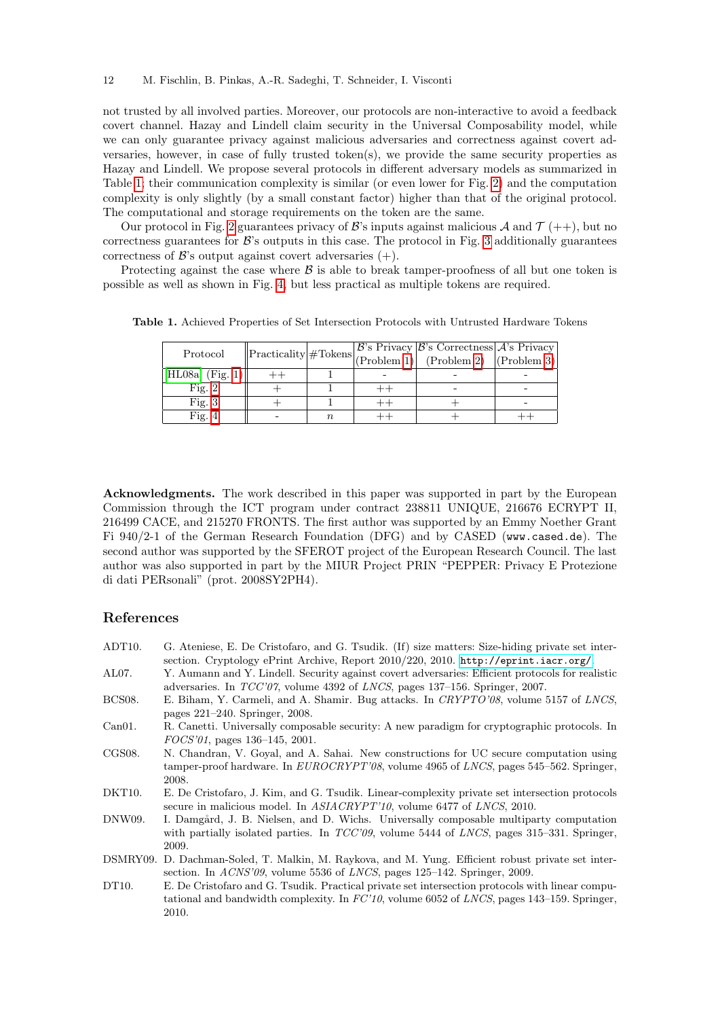not trusted by all involved parties. Moreover, our protocols are non-interactive to avoid a feedback covert channel. Hazay and Lindell claim security in the Universal Composability model, while we can only guarantee privacy against malicious adversaries and correctness against covert adversaries, however, in case of fully trusted token(s), we provide the same security properties as Hazay and Lindell. We propose several protocols in different adversary models as summarized in Table [1;](#page-11-9) their communication complexity is similar (or even lower for Fig. [2\)](#page-5-2) and the computation complexity is only slightly (by a small constant factor) higher than that of the original protocol. The computational and storage requirements on the token are the same.

Our protocol in Fig. [2](#page-5-2) guarantees privacy of  $\mathcal{B}$ 's inputs against malicious  $\mathcal{A}$  and  $\mathcal{T}$  (++), but no correctness guarantees for  $\mathcal{B}'$ 's outputs in this case. The protocol in Fig. [3](#page-8-0) additionally guarantees correctness of  $\mathcal{B}$ 's output against covert adversaries  $(+)$ .

Protecting against the case where  $\beta$  is able to break tamper-proofness of all but one token is possible as well as shown in Fig. [4,](#page-10-1) but less practical as multiple tokens are required.

Table 1. Achieved Properties of Set Intersection Protocols with Untrusted Hardware Tokens

<span id="page-11-9"></span>

| Protocol            | $\left\ \text{Practicality}\right \#\text{Tokens}\left \text{Froblem 1}\right ^{3} \left(\text{Problem 2}\right)\left[\text{(Problem 3)}\right]$ |       | $\mathcal{B}$ 's Privacy $\mathcal{B}$ 's Correctness $\mathcal{A}$ 's Privacy |  |
|---------------------|--------------------------------------------------------------------------------------------------------------------------------------------------|-------|--------------------------------------------------------------------------------|--|
|                     |                                                                                                                                                  |       |                                                                                |  |
| $ [HL08a]$ (Fig. 1) |                                                                                                                                                  |       |                                                                                |  |
| Fig. $2$            |                                                                                                                                                  |       |                                                                                |  |
| Fig. $3$            |                                                                                                                                                  |       |                                                                                |  |
| Fig. $4$            |                                                                                                                                                  | $\,n$ |                                                                                |  |

Acknowledgments. The work described in this paper was supported in part by the European Commission through the ICT program under contract 238811 UNIQUE, 216676 ECRYPT II, 216499 CACE, and 215270 FRONTS. The first author was supported by an Emmy Noether Grant Fi 940/2-1 of the German Research Foundation (DFG) and by CASED (www.cased.de). The second author was supported by the SFEROT project of the European Research Council. The last author was also supported in part by the MIUR Project PRIN "PEPPER: Privacy E Protezione di dati PERsonali" (prot. 2008SY2PH4).

#### References

- <span id="page-11-3"></span>ADT10. G. Ateniese, E. De Cristofaro, and G. Tsudik. (If) size matters: Size-hiding private set intersection. Cryptology ePrint Archive, Report 2010/220, 2010. <http://eprint.iacr.org/>.
- <span id="page-11-8"></span>AL07. Y. Aumann and Y. Lindell. Security against covert adversaries: Efficient protocols for realistic adversaries. In TCC'07, volume 4392 of LNCS, pages 137–156. Springer, 2007.
- <span id="page-11-1"></span>BCS08. E. Biham, Y. Carmeli, and A. Shamir. Bug attacks. In CRYPTO'08, volume 5157 of LNCS, pages 221–240. Springer, 2008.
- <span id="page-11-0"></span>Can01. R. Canetti. Universally composable security: A new paradigm for cryptographic protocols. In FOCS'01, pages 136–145, 2001.
- <span id="page-11-6"></span>CGS08. N. Chandran, V. Goyal, and A. Sahai. New constructions for UC secure computation using tamper-proof hardware. In EUROCRYPT'08, volume 4965 of LNCS, pages 545–562. Springer, 2008.
- <span id="page-11-5"></span>DKT10. E. De Cristofaro, J. Kim, and G. Tsudik. Linear-complexity private set intersection protocols secure in malicious model. In  $ASIACRYPT'10$ , volume 6477 of LNCS, 2010.
- <span id="page-11-7"></span>DNW09. I. Damgård, J. B. Nielsen, and D. Wichs. Universally composable multiparty computation with partially isolated parties. In  $TCC'09$ , volume 5444 of LNCS, pages 315–331. Springer, 2009.
- <span id="page-11-4"></span>DSMRY09. D. Dachman-Soled, T. Malkin, M. Raykova, and M. Yung. Efficient robust private set intersection. In  $ACNS'09$ , volume 5536 of *LNCS*, pages 125–142. Springer, 2009.
- <span id="page-11-2"></span>DT10. E. De Cristofaro and G. Tsudik. Practical private set intersection protocols with linear computational and bandwidth complexity. In FC'10, volume 6052 of LNCS, pages 143–159. Springer, 2010.